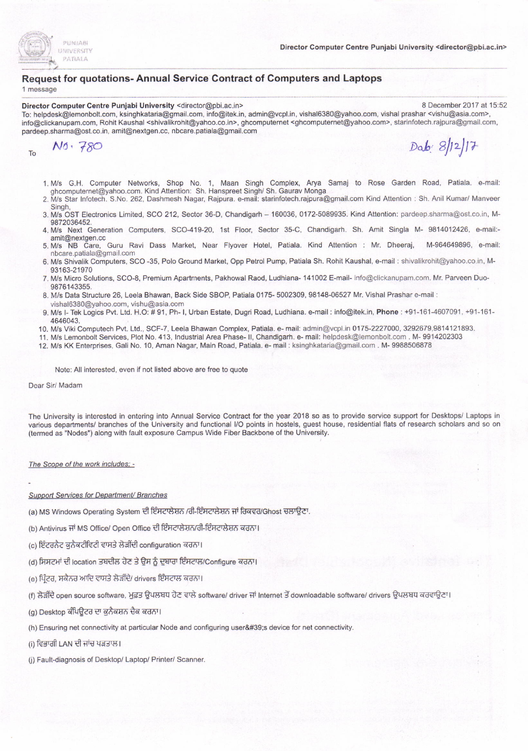

### Request for quotations- Annual Service Contract of Computers and Laptops

1 message

### Director Computer Centre Punjabi University <director@pbi.ac.in> 8 December 2017 at 15:52

To: helpdesk@lemonbolt.com, ksinghkataria@gmail.com, info@itek.in, admin@vcpl.in, visha16380@yahoo.com, vishal prashar <vishu@asia.com>, info@clickanupam.com, Rohit Kaushal <shivalikrohit@yahoo.co.in>, ghcomputemet <ghcomputemet@yahoo.com>, starinfotech.rajpura@gmail.com, pardeep.sharma@ost.co.in, amit@nextgen.cc, nbcare.patiala@gmail.com

 $r_0$  No. 780 Dab:  $8/12/17$ 

- '1.M/s c.H. Computer Networks, Shop No. 1, Maan Singh Complex, Arya Samaj to Rose Garden Road. Patiala. e-mail: ghcomputernet@yahoo.com. Kind Attention: Sh. Hanspreet Singh/ Sh. Gaurav Monga
- 2. M/s Star lnfotech. S.No. 262, Dashmesh Nagar, Rajpura. e-mail: starinfotech.rajpura@gmail.com Kind Attention : Sh. Anil Kumar/ Manveer Singh,
- 3. M/s OST Electronics Limited, SCO 212, Sector 36-0, Chandigarh 160036, 0172-5089935. Kind Attention: pardeep.sharma@osl.co.in, M-9872036452.
- 4. M/s Next Generation Computers, SCO-419-20, 1st Floor, Sector 35-C, Chandigarh. Sh. Amit Singla M- 9814012426, e-mail:amit@nextgen.cc 5. M/s NB Care, curu Ravi Dass Market, Near Flyover Hotel, Patiala. Kind Attention : Mr. Dheeraj, M-964649896, e-mail:
- nbcare.patiala@grnail.com 6. M/s Shivalik Computers, SCO -35, Polo Ground Market, Opp Petrol Pump, Patiala Sh. Rohit Kaushal, e-mail : shjvalikrohit@yahoo.co.in, M-
- 93163-21970 7. M/s Micro Solutions, SCO-8, Premium Apartments, Pakhowal Raod, Ludhiana- 141002 E-mail- info@clickanupam.com. Mr. Parveen Duo-
- 9876143355.
- 8. M/s Data Structure 26, Leela Bhawan, Back Side SBOP, Patiala 0175- 5002309, 98148-06527 Mr. Vishal Prashar e-mail : vishal6380@yahoo.com, vishu@asia.com
- 9. M/s I- Tek Logics Pvt. Ltd. H.O: # 91, Ph- I, Urban Estate, Dugri Road, Ludhiana. e-mail: info@itek.in, Phone: +91-161-4607091, +91-161-4646043.
- 10. M/s Viki Computech Pvt. Ltd., SCF-7, Leela Bhawan Complex, Patiala. e- mail: admin@vcpl.in 0175-2227000, 3292679,9814121893.
- 11. M/s Lemonbolt Services, Plot No. 413, Industrial Area Phase- II, Chandigarh. e- mail: helpdesk@lemonbolt.com . M- 9914202303
- 12. M/s KK Enterprises, Gali No. 10, Aman Nagar, Main Road, Patiala. e- mail : ksinghkataria@gmail.com . M- 9988506878

### Note: All interested, even if not listed above are free to quote

### Dear Sir/ Madam

The University is interested in entering into Annual Service Contract for the year 2018 so as to provide service support for Desktops/ Laptops in various departments/ branches of the University and functional I/O points in hostels, guest house, residential flats of research scholars and so on (termed as "Nodes") along with fault exposure Campus Wide Fiber Backbone ofthe University.

### The Scope of the work includes: -

### Support Services for Department/ Branches

- (a) MS Windows Operating System ਦੀ ਇੰਸਟਾਲੇਸ਼ਨ /ਰੀ-ਇੰਸਟਾਲੇਸ਼ਨ ਜਾਂ ਰਿਕਵਰ/Ghost ਚਲਾਉਣਾ.
- (b) Antivirus ਜਾਂ MS Office/ Open Office ਦੀ ਇੰਸਟਾਲੇਸ਼ਨ/ਰੀ-ਇੰਸਟਾਲੇਸ਼ਨ ਕਰਨਾ।
- (c) ਇੰਟਰਨੈਟ ਕੁਨੈਕਟੀਵਿਟੀ ਵਾਸਤੇ ਲੋੜੀਂਦੀ configuration ਕਰਨਾ।
- (d) ਸਿਸਟਮਾਂ ਦੀ location ਤਬਦੀਲ ਹੋਣ ਤੇ ਉਸ ਨੂੰ ਦੁਬਾਰਾ ਇੰਸਟਾਲ/Configure ਕਰਨਾ।
- (e) ਪ੍ਰਿੰਟਰ, ਸਕੈਨਰ ਆਦਿ ਵਾਸਤੇ ਲੋੜੀਂਦੇ/ drivers ਇੰਸਟਾਲ ਕਰਨਾ।
- (f) ਲੋੜੀਂਦੇ open source software, ਮੁਫ਼ਤ ਉਪਲਬਧ ਹੋਣ ਵਾਲੇ software/ driver ਜਾਂ Internet ਤੋਂ downloadable software/ drivers ਉਪਲਬਧ ਕਰਵਾਉਣਾ।
- (g) Desktop ਕੰਪਿਉਟਰ ਦਾ ਕਨੈਕਸ਼ਨ ਚੈਕ ਕਰਨਾ।
- (h) Ensuring net connectivity at particular Node and configuring user's device for net connectivity.
- (i) ਵਿਭਾਗੀ LAN ਦੀ ਜਾਂਚ ਪੜਤਾਲ।
- (j) Fault-diagnosis of Desktop/ Laptop/ Printer/ Scanner.